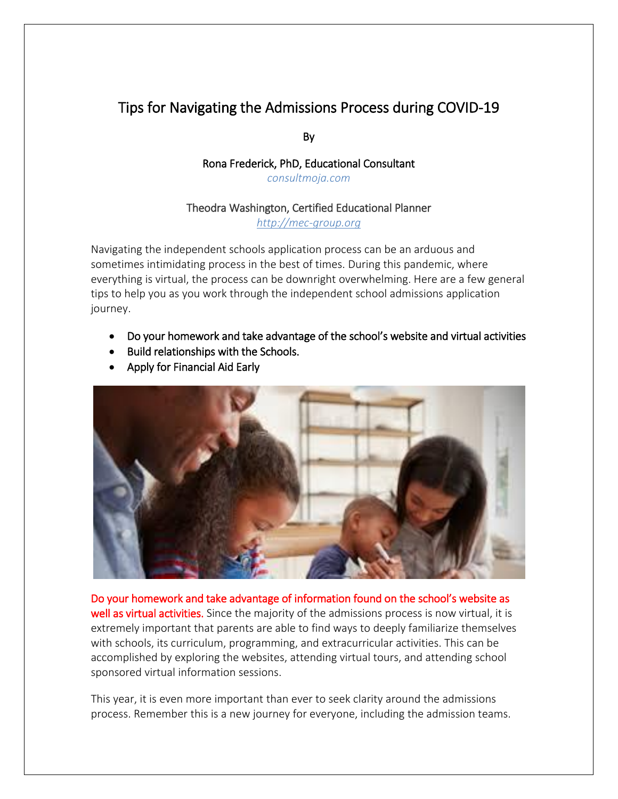## Tips for Navigating the Admissions Process during COVID-19

By

## Rona Frederick, PhD, Educational Consultant *consultmoja.com*

## Theodra Washington, Certified Educational Planner

*[http://mec-group.org](http://mec-group.org/about-us/)*

Navigating the independent schools application process can be an arduous and sometimes intimidating process in the best of times. During this pandemic, where everything is virtual, the process can be downright overwhelming. Here are a few general tips to help you as you work through the independent school admissions application journey.

- Do your homework and take advantage of the school's website and virtual activities
- Build relationships with the Schools.
- Apply for Financial Aid Early



Do your homework and take advantage of information found on the school's website as well as virtual activities. Since the majority of the admissions process is now virtual, it is extremely important that parents are able to find ways to deeply familiarize themselves with schools, its curriculum, programming, and extracurricular activities. This can be accomplished by exploring the websites, attending virtual tours, and attending school sponsored virtual information sessions.

This year, it is even more important than ever to seek clarity around the admissions process. Remember this is a new journey for everyone, including the admission teams.